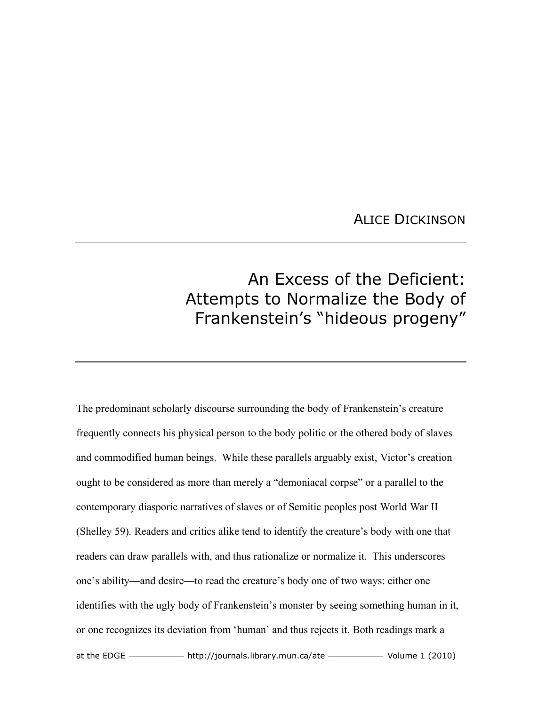## ALICE DICKINSON

## An Excess of the Deficient: Attempts to Normalize the Body of Frankenstein's "hideous progeny"

at the EDGE ——————————— http://journals.library.mun.ca/ate ————————— Volume 1 (2010) The predominant scholarly discourse surrounding the body of Frankenstein's creature frequently connects his physical person to the body politic or the othered body of slaves and commodified human beings. While these parallels arguably exist, Victor's creation ought to be considered as more than merely a "demoniacal corpse" or a parallel to the contemporary diasporic narratives of slaves or of Semitic peoples post World War II (Shelley 59). Readers and critics alike tend to identify the creature's body with one that readers can draw parallels with, and thus rationalize or normalize it. This underscores one's ability—and desire—to read the creature's body one of two ways: either one identifies with the ugly body of Frankenstein's monster by seeing something human in it, or one recognizes its deviation from 'human' and thus rejects it. Both readings mark a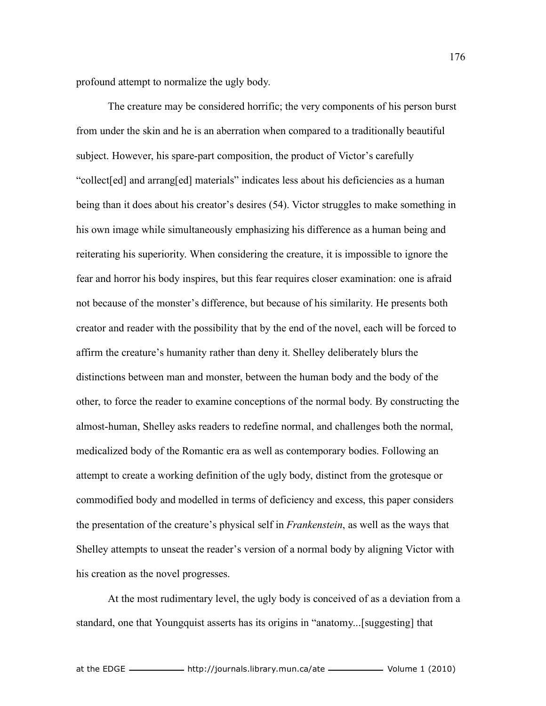profound attempt to normalize the ugly body.

The creature may be considered horrific; the very components of his person burst from under the skin and he is an aberration when compared to a traditionally beautiful subject. However, his spare-part composition, the product of Victor's carefully "collect[ed] and arrang[ed] materials" indicates less about his deficiencies as a human being than it does about his creator's desires (54). Victor struggles to make something in his own image while simultaneously emphasizing his difference as a human being and reiterating his superiority. When considering the creature, it is impossible to ignore the fear and horror his body inspires, but this fear requires closer examination: one is afraid not because of the monster's difference, but because of his similarity. He presents both creator and reader with the possibility that by the end of the novel, each will be forced to affirm the creature's humanity rather than deny it. Shelley deliberately blurs the distinctions between man and monster, between the human body and the body of the other, to force the reader to examine conceptions of the normal body. By constructing the almost-human, Shelley asks readers to redefine normal, and challenges both the normal, medicalized body of the Romantic era as well as contemporary bodies. Following an attempt to create a working definition of the ugly body, distinct from the grotesque or commodified body and modelled in terms of deficiency and excess, this paper considers the presentation of the creature's physical self in *Frankenstein*, as well as the ways that Shelley attempts to unseat the reader's version of a normal body by aligning Victor with his creation as the novel progresses.

At the most rudimentary level, the ugly body is conceived of as a deviation from a standard, one that Youngquist asserts has its origins in "anatomy...[suggesting] that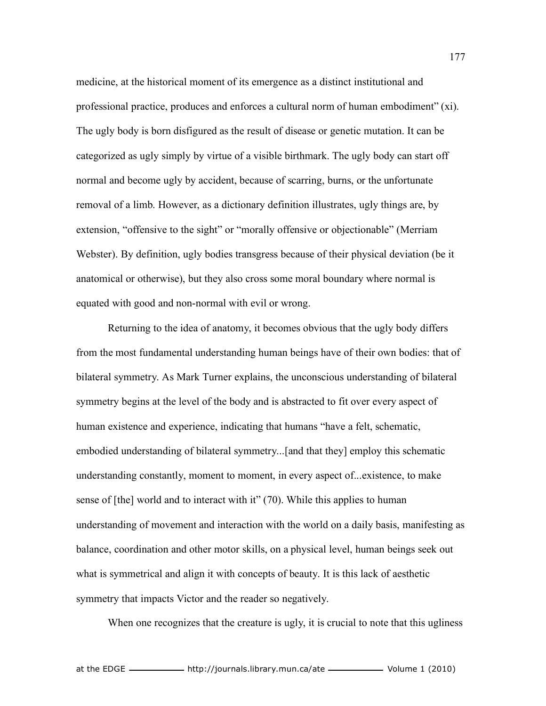medicine, at the historical moment of its emergence as a distinct institutional and professional practice, produces and enforces a cultural norm of human embodiment" (xi). The ugly body is born disfigured as the result of disease or genetic mutation. It can be categorized as ugly simply by virtue of a visible birthmark. The ugly body can start off normal and become ugly by accident, because of scarring, burns, or the unfortunate removal of a limb. However, as a dictionary definition illustrates, ugly things are, by extension, "offensive to the sight" or "morally offensive or objectionable" (Merriam Webster). By definition, ugly bodies transgress because of their physical deviation (be it anatomical or otherwise), but they also cross some moral boundary where normal is equated with good and non-normal with evil or wrong.

Returning to the idea of anatomy, it becomes obvious that the ugly body differs from the most fundamental understanding human beings have of their own bodies: that of bilateral symmetry. As Mark Turner explains, the unconscious understanding of bilateral symmetry begins at the level of the body and is abstracted to fit over every aspect of human existence and experience, indicating that humans "have a felt, schematic, embodied understanding of bilateral symmetry...[and that they] employ this schematic understanding constantly, moment to moment, in every aspect of...existence, to make sense of [the] world and to interact with it" (70). While this applies to human understanding of movement and interaction with the world on a daily basis, manifesting as balance, coordination and other motor skills, on a physical level, human beings seek out what is symmetrical and align it with concepts of beauty. It is this lack of aesthetic symmetry that impacts Victor and the reader so negatively.

When one recognizes that the creature is ugly, it is crucial to note that this ugliness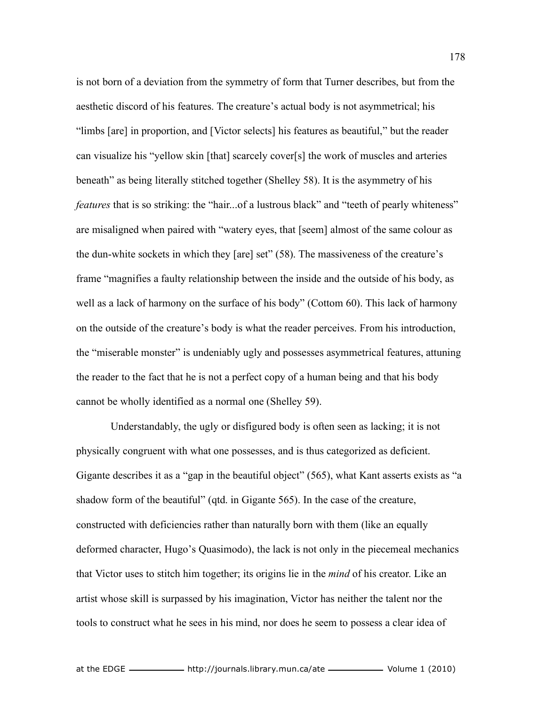is not born of a deviation from the symmetry of form that Turner describes, but from the aesthetic discord of his features. The creature's actual body is not asymmetrical; his "limbs [are] in proportion, and [Victor selects] his features as beautiful," but the reader can visualize his "yellow skin [that] scarcely cover[s] the work of muscles and arteries beneath" as being literally stitched together (Shelley 58). It is the asymmetry of his *features* that is so striking: the "hair...of a lustrous black" and "teeth of pearly whiteness" are misaligned when paired with "watery eyes, that [seem] almost of the same colour as the dun-white sockets in which they [are] set" (58). The massiveness of the creature's frame "magnifies a faulty relationship between the inside and the outside of his body, as well as a lack of harmony on the surface of his body" (Cottom 60). This lack of harmony on the outside of the creature's body is what the reader perceives. From his introduction, the "miserable monster" is undeniably ugly and possesses asymmetrical features, attuning the reader to the fact that he is not a perfect copy of a human being and that his body cannot be wholly identified as a normal one (Shelley 59).

 Understandably, the ugly or disfigured body is often seen as lacking; it is not physically congruent with what one possesses, and is thus categorized as deficient. Gigante describes it as a "gap in the beautiful object" (565), what Kant asserts exists as "a shadow form of the beautiful" (qtd. in Gigante 565). In the case of the creature, constructed with deficiencies rather than naturally born with them (like an equally deformed character, Hugo's Quasimodo), the lack is not only in the piecemeal mechanics that Victor uses to stitch him together; its origins lie in the *mind* of his creator. Like an artist whose skill is surpassed by his imagination, Victor has neither the talent nor the tools to construct what he sees in his mind, nor does he seem to possess a clear idea of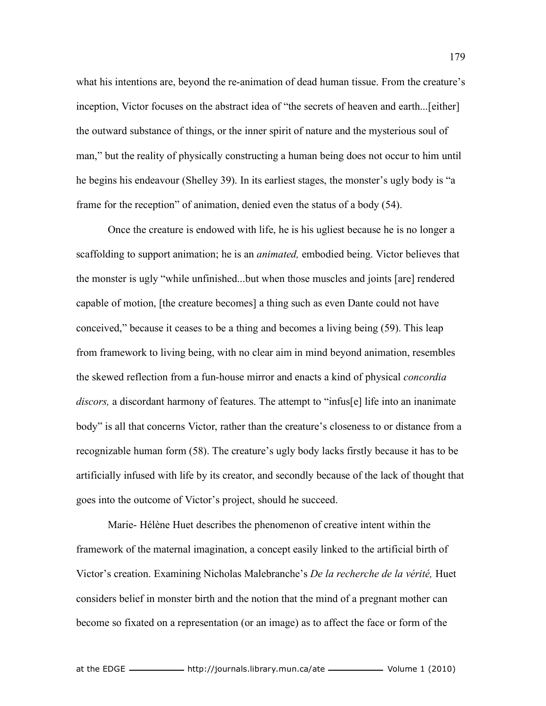what his intentions are, beyond the re-animation of dead human tissue. From the creature's inception, Victor focuses on the abstract idea of "the secrets of heaven and earth...[either] the outward substance of things, or the inner spirit of nature and the mysterious soul of man," but the reality of physically constructing a human being does not occur to him until he begins his endeavour (Shelley 39). In its earliest stages, the monster's ugly body is "a frame for the reception" of animation, denied even the status of a body (54).

Once the creature is endowed with life, he is his ugliest because he is no longer a scaffolding to support animation; he is an *animated,* embodied being. Victor believes that the monster is ugly "while unfinished...but when those muscles and joints [are] rendered capable of motion, [the creature becomes] a thing such as even Dante could not have conceived," because it ceases to be a thing and becomes a living being (59). This leap from framework to living being, with no clear aim in mind beyond animation, resembles the skewed reflection from a fun-house mirror and enacts a kind of physical *concordia discors,* a discordant harmony of features. The attempt to "infus[e] life into an inanimate body" is all that concerns Victor, rather than the creature's closeness to or distance from a recognizable human form (58). The creature's ugly body lacks firstly because it has to be artificially infused with life by its creator, and secondly because of the lack of thought that goes into the outcome of Victor's project, should he succeed.

Marie- Hélène Huet describes the phenomenon of creative intent within the framework of the maternal imagination, a concept easily linked to the artificial birth of Victor's creation. Examining Nicholas Malebranche's *De la recherche de la vérité,* Huet considers belief in monster birth and the notion that the mind of a pregnant mother can become so fixated on a representation (or an image) as to affect the face or form of the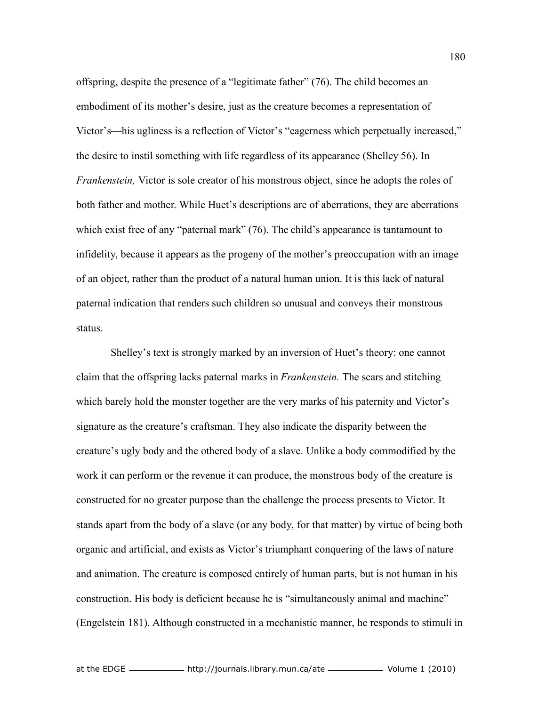offspring, despite the presence of a "legitimate father" (76). The child becomes an embodiment of its mother's desire, just as the creature becomes a representation of Victor's—his ugliness is a reflection of Victor's "eagerness which perpetually increased," the desire to instil something with life regardless of its appearance (Shelley 56). In *Frankenstein,* Victor is sole creator of his monstrous object, since he adopts the roles of both father and mother. While Huet's descriptions are of aberrations, they are aberrations which exist free of any "paternal mark" (76). The child's appearance is tantamount to infidelity, because it appears as the progeny of the mother's preoccupation with an image of an object, rather than the product of a natural human union. It is this lack of natural paternal indication that renders such children so unusual and conveys their monstrous status.

 Shelley's text is strongly marked by an inversion of Huet's theory: one cannot claim that the offspring lacks paternal marks in *Frankenstein.* The scars and stitching which barely hold the monster together are the very marks of his paternity and Victor's signature as the creature's craftsman. They also indicate the disparity between the creature's ugly body and the othered body of a slave. Unlike a body commodified by the work it can perform or the revenue it can produce, the monstrous body of the creature is constructed for no greater purpose than the challenge the process presents to Victor. It stands apart from the body of a slave (or any body, for that matter) by virtue of being both organic and artificial, and exists as Victor's triumphant conquering of the laws of nature and animation. The creature is composed entirely of human parts, but is not human in his construction. His body is deficient because he is "simultaneously animal and machine" (Engelstein 181). Although constructed in a mechanistic manner, he responds to stimuli in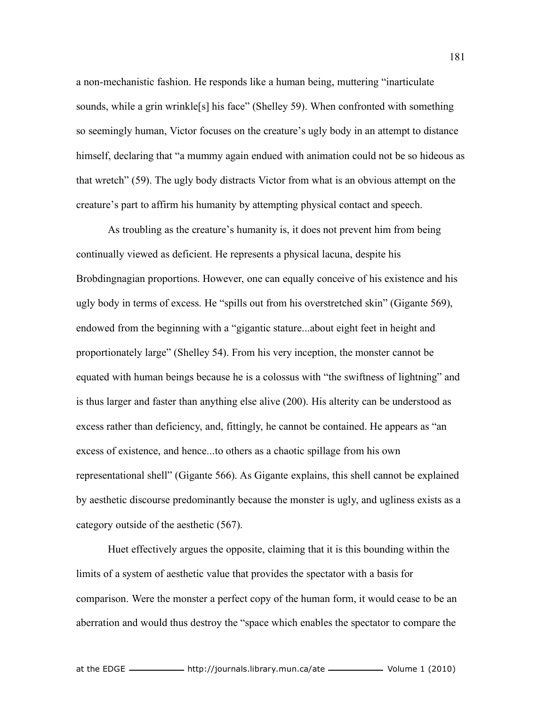a non-mechanistic fashion. He responds like a human being, muttering "inarticulate sounds, while a grin wrinkle<sup>[s]</sup> his face" (Shelley 59). When confronted with something so seemingly human, Victor focuses on the creature's ugly body in an attempt to distance himself, declaring that "a mummy again endued with animation could not be so hideous as that wretch" (59). The ugly body distracts Victor from what is an obvious attempt on the creature's part to affirm his humanity by attempting physical contact and speech.

As troubling as the creature's humanity is, it does not prevent him from being continually viewed as deficient. He represents a physical lacuna, despite his Brobdingnagian proportions. However, one can equally conceive of his existence and his ugly body in terms of excess. He "spills out from his overstretched skin" (Gigante 569), endowed from the beginning with a "gigantic stature...about eight feet in height and proportionately large" (Shelley 54). From his very inception, the monster cannot be equated with human beings because he is a colossus with "the swiftness of lightning" and is thus larger and faster than anything else alive (200). His alterity can be understood as excess rather than deficiency, and, fittingly, he cannot be contained. He appears as "an excess of existence, and hence...to others as a chaotic spillage from his own representational shell" (Gigante 566). As Gigante explains, this shell cannot be explained by aesthetic discourse predominantly because the monster is ugly, and ugliness exists as a category outside of the aesthetic (567).

Huet effectively argues the opposite, claiming that it is this bounding within the limits of a system of aesthetic value that provides the spectator with a basis for comparison. Were the monster a perfect copy of the human form, it would cease to be an aberration and would thus destroy the "space which enables the spectator to compare the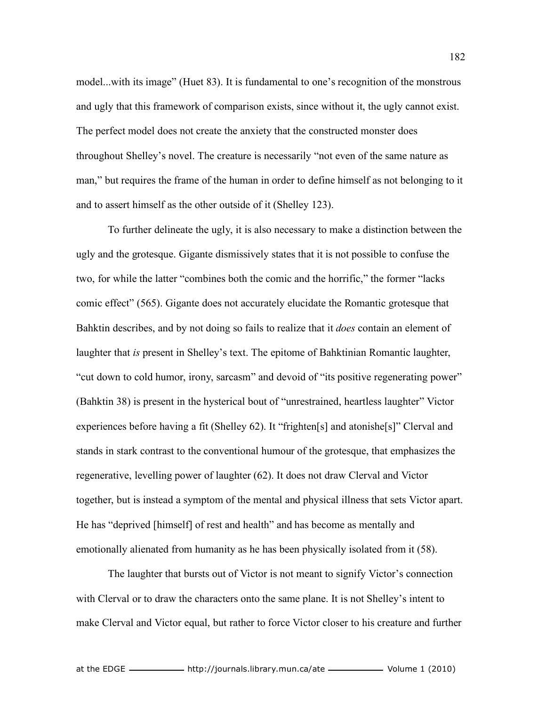model...with its image" (Huet 83). It is fundamental to one's recognition of the monstrous and ugly that this framework of comparison exists, since without it, the ugly cannot exist. The perfect model does not create the anxiety that the constructed monster does throughout Shelley's novel. The creature is necessarily "not even of the same nature as man," but requires the frame of the human in order to define himself as not belonging to it and to assert himself as the other outside of it (Shelley 123).

To further delineate the ugly, it is also necessary to make a distinction between the ugly and the grotesque. Gigante dismissively states that it is not possible to confuse the two, for while the latter "combines both the comic and the horrific," the former "lacks comic effect" (565). Gigante does not accurately elucidate the Romantic grotesque that Bahktin describes, and by not doing so fails to realize that it *does* contain an element of laughter that *is* present in Shelley's text. The epitome of Bahktinian Romantic laughter, "cut down to cold humor, irony, sarcasm" and devoid of "its positive regenerating power" (Bahktin 38) is present in the hysterical bout of "unrestrained, heartless laughter" Victor experiences before having a fit (Shelley 62). It "frighten[s] and atonishe[s]" Clerval and stands in stark contrast to the conventional humour of the grotesque, that emphasizes the regenerative, levelling power of laughter (62). It does not draw Clerval and Victor together, but is instead a symptom of the mental and physical illness that sets Victor apart. He has "deprived [himself] of rest and health" and has become as mentally and emotionally alienated from humanity as he has been physically isolated from it (58).

The laughter that bursts out of Victor is not meant to signify Victor's connection with Clerval or to draw the characters onto the same plane. It is not Shelley's intent to make Clerval and Victor equal, but rather to force Victor closer to his creature and further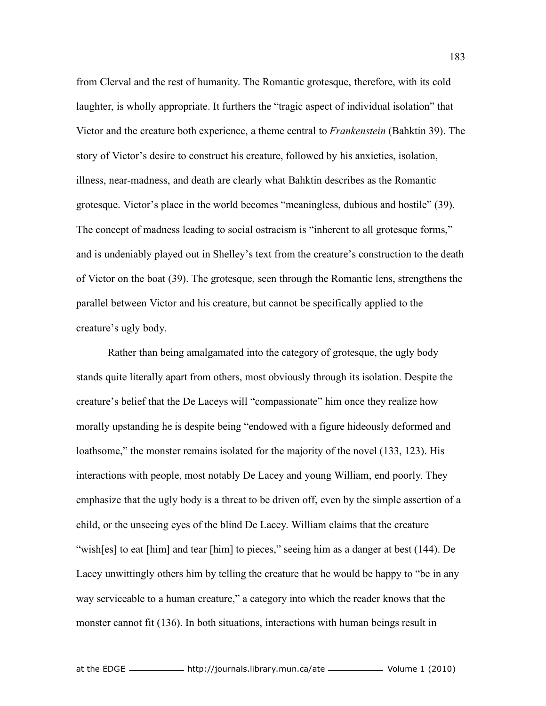from Clerval and the rest of humanity. The Romantic grotesque, therefore, with its cold laughter, is wholly appropriate. It furthers the "tragic aspect of individual isolation" that Victor and the creature both experience, a theme central to *Frankenstein* (Bahktin 39). The story of Victor's desire to construct his creature, followed by his anxieties, isolation, illness, near-madness, and death are clearly what Bahktin describes as the Romantic grotesque. Victor's place in the world becomes "meaningless, dubious and hostile" (39). The concept of madness leading to social ostracism is "inherent to all grotesque forms," and is undeniably played out in Shelley's text from the creature's construction to the death of Victor on the boat (39). The grotesque, seen through the Romantic lens, strengthens the parallel between Victor and his creature, but cannot be specifically applied to the creature's ugly body.

Rather than being amalgamated into the category of grotesque, the ugly body stands quite literally apart from others, most obviously through its isolation. Despite the creature's belief that the De Laceys will "compassionate" him once they realize how morally upstanding he is despite being "endowed with a figure hideously deformed and loathsome," the monster remains isolated for the majority of the novel (133, 123). His interactions with people, most notably De Lacey and young William, end poorly. They emphasize that the ugly body is a threat to be driven off, even by the simple assertion of a child, or the unseeing eyes of the blind De Lacey. William claims that the creature "wish[es] to eat [him] and tear [him] to pieces," seeing him as a danger at best (144). De Lacey unwittingly others him by telling the creature that he would be happy to "be in any way serviceable to a human creature," a category into which the reader knows that the monster cannot fit (136). In both situations, interactions with human beings result in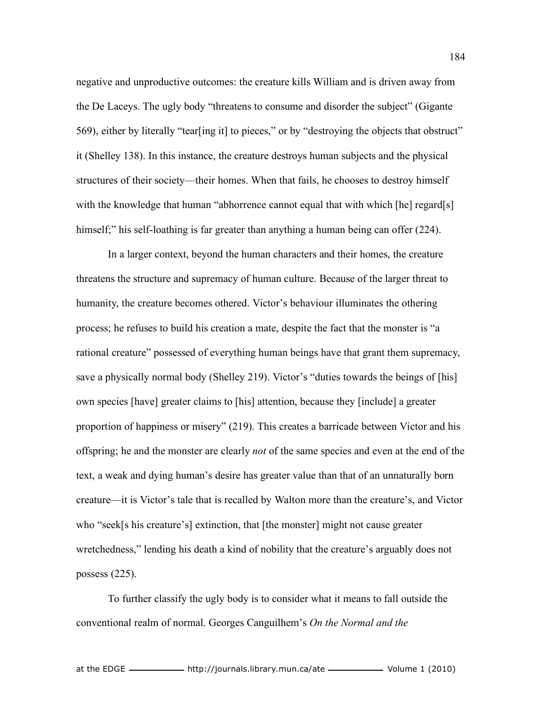negative and unproductive outcomes: the creature kills William and is driven away from the De Laceys. The ugly body "threatens to consume and disorder the subject" (Gigante 569), either by literally "tear[ing it] to pieces," or by "destroying the objects that obstruct" it (Shelley 138). In this instance, the creature destroys human subjects and the physical structures of their society—their homes. When that fails, he chooses to destroy himself with the knowledge that human "abhorrence cannot equal that with which [he] regard[s] himself;" his self-loathing is far greater than anything a human being can offer (224).

In a larger context, beyond the human characters and their homes, the creature threatens the structure and supremacy of human culture. Because of the larger threat to humanity, the creature becomes othered. Victor's behaviour illuminates the othering process; he refuses to build his creation a mate, despite the fact that the monster is "a rational creature" possessed of everything human beings have that grant them supremacy, save a physically normal body (Shelley 219). Victor's "duties towards the beings of [his] own species [have] greater claims to [his] attention, because they [include] a greater proportion of happiness or misery" (219). This creates a barricade between Victor and his offspring; he and the monster are clearly *not* of the same species and even at the end of the text, a weak and dying human's desire has greater value than that of an unnaturally born creature—it is Victor's tale that is recalled by Walton more than the creature's, and Victor who "seek[s his creature's] extinction, that [the monster] might not cause greater wretchedness," lending his death a kind of nobility that the creature's arguably does not possess (225).

To further classify the ugly body is to consider what it means to fall outside the conventional realm of normal. Georges Canguilhem's *On the Normal and the*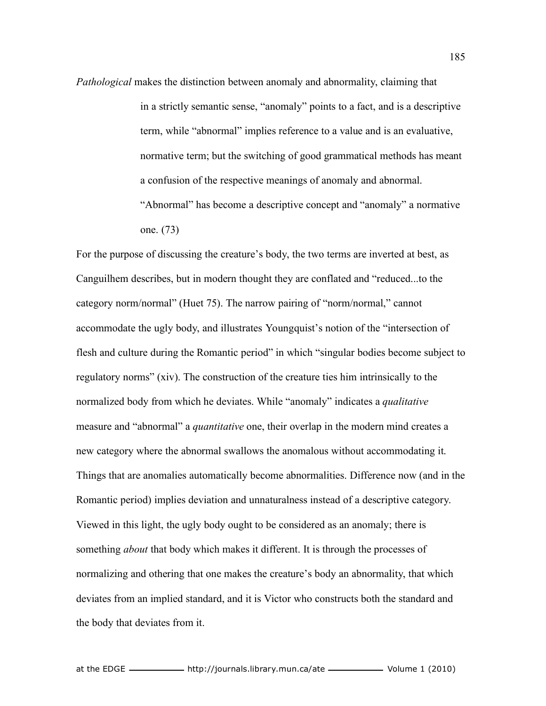*Pathological* makes the distinction between anomaly and abnormality, claiming that in a strictly semantic sense, "anomaly" points to a fact, and is a descriptive term, while "abnormal" implies reference to a value and is an evaluative, normative term; but the switching of good grammatical methods has meant a confusion of the respective meanings of anomaly and abnormal. "Abnormal" has become a descriptive concept and "anomaly" a normative one. (73)

For the purpose of discussing the creature's body, the two terms are inverted at best, as Canguilhem describes, but in modern thought they are conflated and "reduced...to the category norm/normal" (Huet 75). The narrow pairing of "norm/normal," cannot accommodate the ugly body, and illustrates Youngquist's notion of the "intersection of flesh and culture during the Romantic period" in which "singular bodies become subject to regulatory norms" (xiv). The construction of the creature ties him intrinsically to the normalized body from which he deviates. While "anomaly" indicates a *qualitative* measure and "abnormal" a *quantitative* one, their overlap in the modern mind creates a new category where the abnormal swallows the anomalous without accommodating it. Things that are anomalies automatically become abnormalities. Difference now (and in the Romantic period) implies deviation and unnaturalness instead of a descriptive category. Viewed in this light, the ugly body ought to be considered as an anomaly; there is something *about* that body which makes it different. It is through the processes of normalizing and othering that one makes the creature's body an abnormality, that which deviates from an implied standard, and it is Victor who constructs both the standard and the body that deviates from it.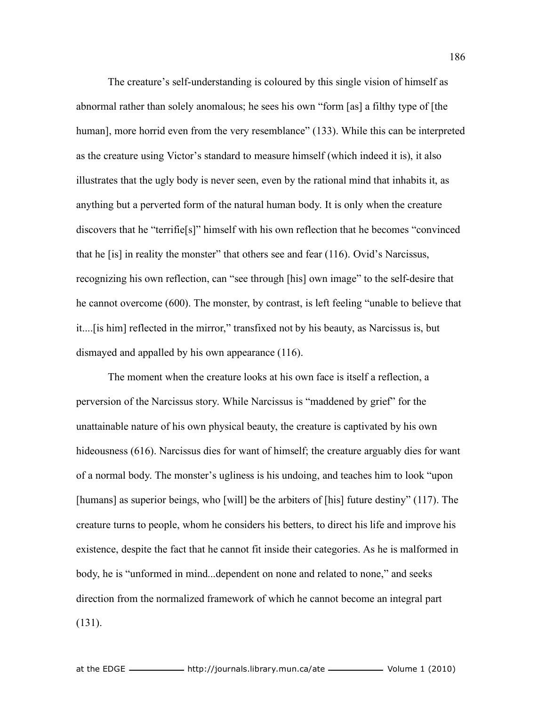The creature's self-understanding is coloured by this single vision of himself as abnormal rather than solely anomalous; he sees his own "form [as] a filthy type of [the human], more horrid even from the very resemblance" (133). While this can be interpreted as the creature using Victor's standard to measure himself (which indeed it is), it also illustrates that the ugly body is never seen, even by the rational mind that inhabits it, as anything but a perverted form of the natural human body. It is only when the creature discovers that he "terrifie[s]" himself with his own reflection that he becomes "convinced that he [is] in reality the monster" that others see and fear (116). Ovid's Narcissus, recognizing his own reflection, can "see through [his] own image" to the self-desire that he cannot overcome (600). The monster, by contrast, is left feeling "unable to believe that it....[is him] reflected in the mirror," transfixed not by his beauty, as Narcissus is, but dismayed and appalled by his own appearance (116).

The moment when the creature looks at his own face is itself a reflection, a perversion of the Narcissus story. While Narcissus is "maddened by grief" for the unattainable nature of his own physical beauty, the creature is captivated by his own hideousness (616). Narcissus dies for want of himself; the creature arguably dies for want of a normal body. The monster's ugliness is his undoing, and teaches him to look "upon [humans] as superior beings, who [will] be the arbiters of [his] future destiny" (117). The creature turns to people, whom he considers his betters, to direct his life and improve his existence, despite the fact that he cannot fit inside their categories. As he is malformed in body, he is "unformed in mind...dependent on none and related to none," and seeks direction from the normalized framework of which he cannot become an integral part (131).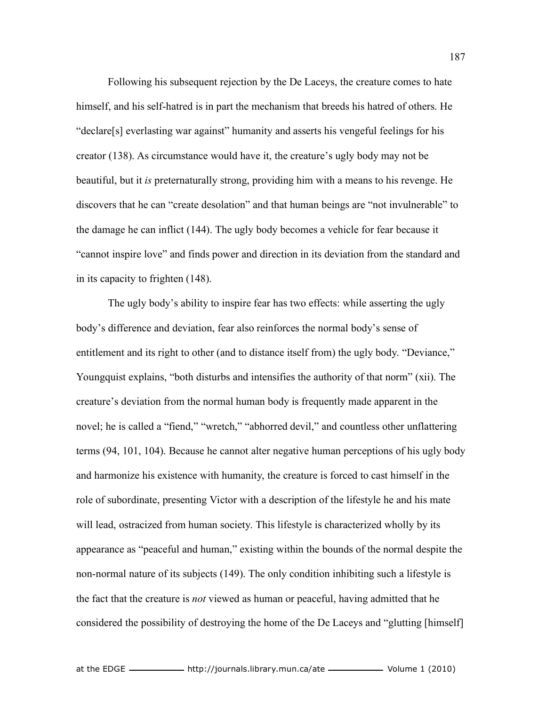Following his subsequent rejection by the De Laceys, the creature comes to hate himself, and his self-hatred is in part the mechanism that breeds his hatred of others. He "declare[s] everlasting war against" humanity and asserts his vengeful feelings for his creator (138). As circumstance would have it, the creature's ugly body may not be beautiful, but it *is* preternaturally strong, providing him with a means to his revenge. He discovers that he can "create desolation" and that human beings are "not invulnerable" to the damage he can inflict (144). The ugly body becomes a vehicle for fear because it "cannot inspire love" and finds power and direction in its deviation from the standard and in its capacity to frighten (148).

The ugly body's ability to inspire fear has two effects: while asserting the ugly body's difference and deviation, fear also reinforces the normal body's sense of entitlement and its right to other (and to distance itself from) the ugly body. "Deviance," Youngquist explains, "both disturbs and intensifies the authority of that norm" (xii). The creature's deviation from the normal human body is frequently made apparent in the novel; he is called a "fiend," "wretch," "abhorred devil," and countless other unflattering terms (94, 101, 104). Because he cannot alter negative human perceptions of his ugly body and harmonize his existence with humanity, the creature is forced to cast himself in the role of subordinate, presenting Victor with a description of the lifestyle he and his mate will lead, ostracized from human society. This lifestyle is characterized wholly by its appearance as "peaceful and human," existing within the bounds of the normal despite the non-normal nature of its subjects (149). The only condition inhibiting such a lifestyle is the fact that the creature is *not* viewed as human or peaceful, having admitted that he considered the possibility of destroying the home of the De Laceys and "glutting [himself]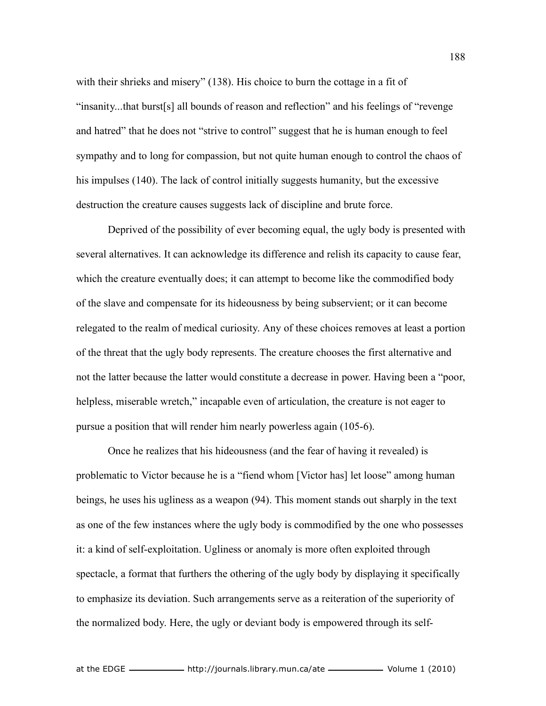with their shrieks and misery" (138). His choice to burn the cottage in a fit of "insanity...that burst[s] all bounds of reason and reflection" and his feelings of "revenge and hatred" that he does not "strive to control" suggest that he is human enough to feel sympathy and to long for compassion, but not quite human enough to control the chaos of his impulses (140). The lack of control initially suggests humanity, but the excessive destruction the creature causes suggests lack of discipline and brute force.

Deprived of the possibility of ever becoming equal, the ugly body is presented with several alternatives. It can acknowledge its difference and relish its capacity to cause fear, which the creature eventually does; it can attempt to become like the commodified body of the slave and compensate for its hideousness by being subservient; or it can become relegated to the realm of medical curiosity. Any of these choices removes at least a portion of the threat that the ugly body represents. The creature chooses the first alternative and not the latter because the latter would constitute a decrease in power. Having been a "poor, helpless, miserable wretch," incapable even of articulation, the creature is not eager to pursue a position that will render him nearly powerless again (105-6).

Once he realizes that his hideousness (and the fear of having it revealed) is problematic to Victor because he is a "fiend whom [Victor has] let loose" among human beings, he uses his ugliness as a weapon (94). This moment stands out sharply in the text as one of the few instances where the ugly body is commodified by the one who possesses it: a kind of self-exploitation. Ugliness or anomaly is more often exploited through spectacle, a format that furthers the othering of the ugly body by displaying it specifically to emphasize its deviation. Such arrangements serve as a reiteration of the superiority of the normalized body. Here, the ugly or deviant body is empowered through its self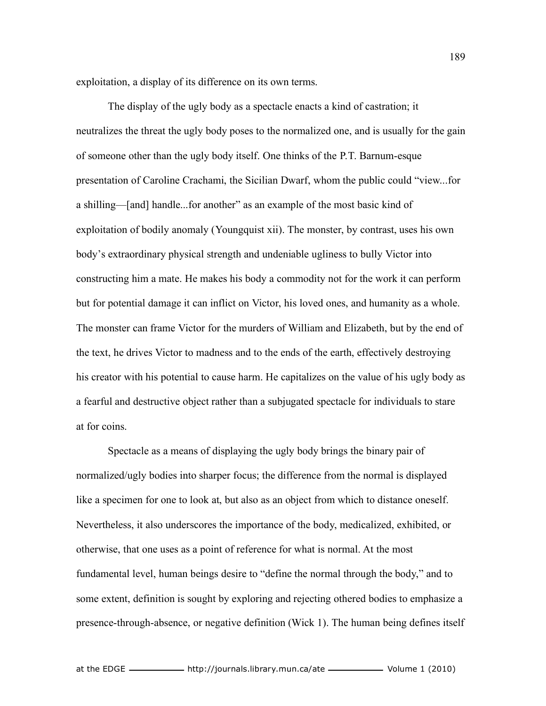exploitation, a display of its difference on its own terms.

The display of the ugly body as a spectacle enacts a kind of castration; it neutralizes the threat the ugly body poses to the normalized one, and is usually for the gain of someone other than the ugly body itself. One thinks of the P.T. Barnum-esque presentation of Caroline Crachami, the Sicilian Dwarf, whom the public could "view...for a shilling—[and] handle...for another" as an example of the most basic kind of exploitation of bodily anomaly (Youngquist xii). The monster, by contrast, uses his own body's extraordinary physical strength and undeniable ugliness to bully Victor into constructing him a mate. He makes his body a commodity not for the work it can perform but for potential damage it can inflict on Victor, his loved ones, and humanity as a whole. The monster can frame Victor for the murders of William and Elizabeth, but by the end of the text, he drives Victor to madness and to the ends of the earth, effectively destroying his creator with his potential to cause harm. He capitalizes on the value of his ugly body as a fearful and destructive object rather than a subjugated spectacle for individuals to stare at for coins.

Spectacle as a means of displaying the ugly body brings the binary pair of normalized/ugly bodies into sharper focus; the difference from the normal is displayed like a specimen for one to look at, but also as an object from which to distance oneself. Nevertheless, it also underscores the importance of the body, medicalized, exhibited, or otherwise, that one uses as a point of reference for what is normal. At the most fundamental level, human beings desire to "define the normal through the body," and to some extent, definition is sought by exploring and rejecting othered bodies to emphasize a presence-through-absence, or negative definition (Wick 1). The human being defines itself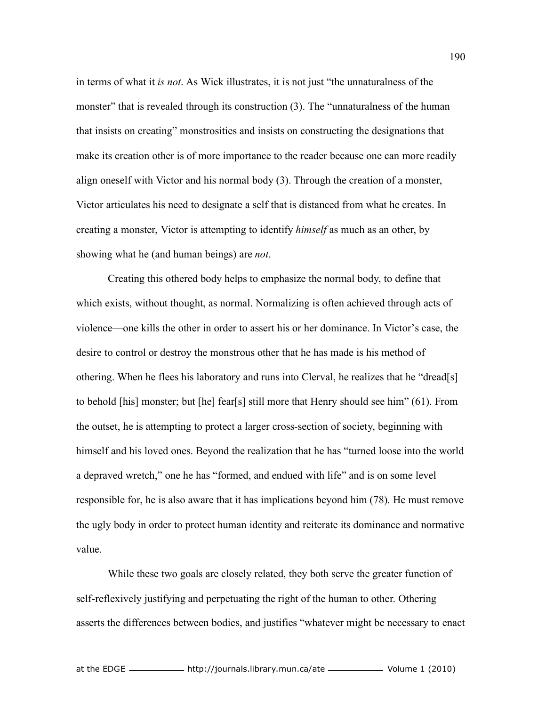in terms of what it *is not*. As Wick illustrates, it is not just "the unnaturalness of the monster" that is revealed through its construction (3). The "unnaturalness of the human that insists on creating" monstrosities and insists on constructing the designations that make its creation other is of more importance to the reader because one can more readily align oneself with Victor and his normal body (3). Through the creation of a monster, Victor articulates his need to designate a self that is distanced from what he creates. In creating a monster, Victor is attempting to identify *himself* as much as an other, by showing what he (and human beings) are *not*.

Creating this othered body helps to emphasize the normal body, to define that which exists, without thought, as normal. Normalizing is often achieved through acts of violence—one kills the other in order to assert his or her dominance. In Victor's case, the desire to control or destroy the monstrous other that he has made is his method of othering. When he flees his laboratory and runs into Clerval, he realizes that he "dread[s] to behold [his] monster; but [he] fear[s] still more that Henry should see him" (61). From the outset, he is attempting to protect a larger cross-section of society, beginning with himself and his loved ones. Beyond the realization that he has "turned loose into the world a depraved wretch," one he has "formed, and endued with life" and is on some level responsible for, he is also aware that it has implications beyond him (78). He must remove the ugly body in order to protect human identity and reiterate its dominance and normative value.

While these two goals are closely related, they both serve the greater function of self-reflexively justifying and perpetuating the right of the human to other. Othering asserts the differences between bodies, and justifies "whatever might be necessary to enact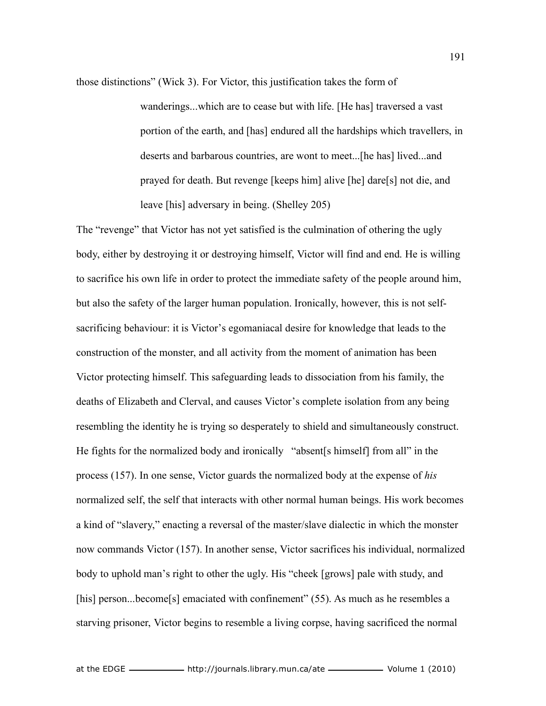those distinctions" (Wick 3). For Victor, this justification takes the form of

wanderings...which are to cease but with life. [He has] traversed a vast portion of the earth, and [has] endured all the hardships which travellers, in deserts and barbarous countries, are wont to meet...[he has] lived...and prayed for death. But revenge [keeps him] alive [he] dare[s] not die, and leave [his] adversary in being. (Shelley 205)

The "revenge" that Victor has not yet satisfied is the culmination of othering the ugly body, either by destroying it or destroying himself, Victor will find and end. He is willing to sacrifice his own life in order to protect the immediate safety of the people around him, but also the safety of the larger human population. Ironically, however, this is not selfsacrificing behaviour: it is Victor's egomaniacal desire for knowledge that leads to the construction of the monster, and all activity from the moment of animation has been Victor protecting himself. This safeguarding leads to dissociation from his family, the deaths of Elizabeth and Clerval, and causes Victor's complete isolation from any being resembling the identity he is trying so desperately to shield and simultaneously construct. He fights for the normalized body and ironically "absent[s himself] from all" in the process (157). In one sense, Victor guards the normalized body at the expense of *his* normalized self, the self that interacts with other normal human beings. His work becomes a kind of "slavery," enacting a reversal of the master/slave dialectic in which the monster now commands Victor (157). In another sense, Victor sacrifices his individual, normalized body to uphold man's right to other the ugly. His "cheek [grows] pale with study, and [his] person...become[s] emaciated with confinement" (55). As much as he resembles a starving prisoner, Victor begins to resemble a living corpse, having sacrificed the normal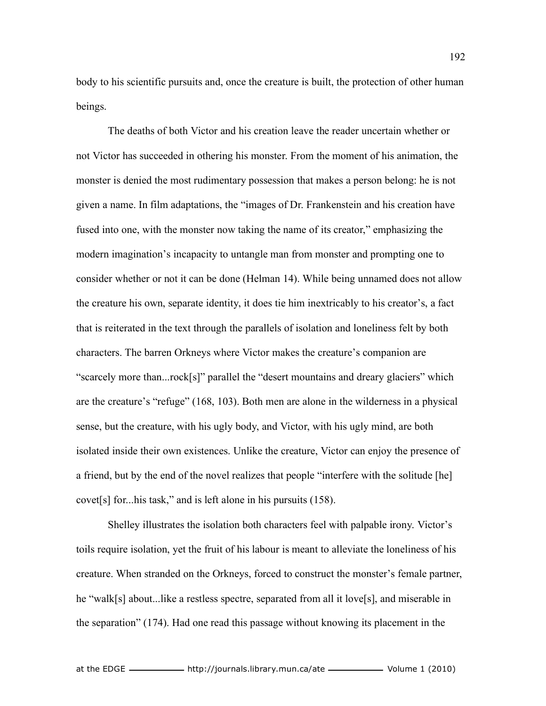body to his scientific pursuits and, once the creature is built, the protection of other human beings.

The deaths of both Victor and his creation leave the reader uncertain whether or not Victor has succeeded in othering his monster. From the moment of his animation, the monster is denied the most rudimentary possession that makes a person belong: he is not given a name. In film adaptations, the "images of Dr. Frankenstein and his creation have fused into one, with the monster now taking the name of its creator," emphasizing the modern imagination's incapacity to untangle man from monster and prompting one to consider whether or not it can be done (Helman 14). While being unnamed does not allow the creature his own, separate identity, it does tie him inextricably to his creator's, a fact that is reiterated in the text through the parallels of isolation and loneliness felt by both characters. The barren Orkneys where Victor makes the creature's companion are "scarcely more than...rock[s]" parallel the "desert mountains and dreary glaciers" which are the creature's "refuge" (168, 103). Both men are alone in the wilderness in a physical sense, but the creature, with his ugly body, and Victor, with his ugly mind, are both isolated inside their own existences. Unlike the creature, Victor can enjoy the presence of a friend, but by the end of the novel realizes that people "interfere with the solitude [he] covet[s] for...his task," and is left alone in his pursuits (158).

Shelley illustrates the isolation both characters feel with palpable irony. Victor's toils require isolation, yet the fruit of his labour is meant to alleviate the loneliness of his creature. When stranded on the Orkneys, forced to construct the monster's female partner, he "walk[s] about...like a restless spectre, separated from all it love[s], and miserable in the separation" (174). Had one read this passage without knowing its placement in the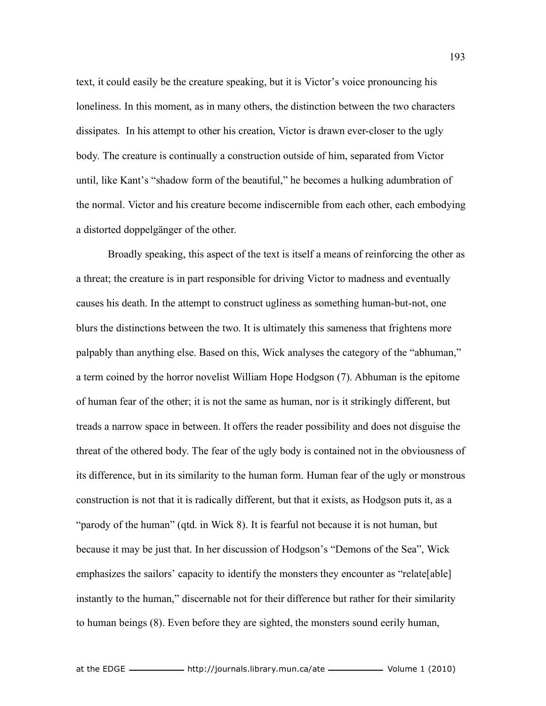text, it could easily be the creature speaking, but it is Victor's voice pronouncing his loneliness. In this moment, as in many others, the distinction between the two characters dissipates. In his attempt to other his creation, Victor is drawn ever-closer to the ugly body. The creature is continually a construction outside of him, separated from Victor until, like Kant's "shadow form of the beautiful," he becomes a hulking adumbration of the normal. Victor and his creature become indiscernible from each other, each embodying a distorted doppelgänger of the other.

Broadly speaking, this aspect of the text is itself a means of reinforcing the other as a threat; the creature is in part responsible for driving Victor to madness and eventually causes his death. In the attempt to construct ugliness as something human-but-not, one blurs the distinctions between the two. It is ultimately this sameness that frightens more palpably than anything else. Based on this, Wick analyses the category of the "abhuman," a term coined by the horror novelist William Hope Hodgson (7). Abhuman is the epitome of human fear of the other; it is not the same as human, nor is it strikingly different, but treads a narrow space in between. It offers the reader possibility and does not disguise the threat of the othered body. The fear of the ugly body is contained not in the obviousness of its difference, but in its similarity to the human form. Human fear of the ugly or monstrous construction is not that it is radically different, but that it exists, as Hodgson puts it, as a "parody of the human" (qtd. in Wick 8). It is fearful not because it is not human, but because it may be just that. In her discussion of Hodgson's "Demons of the Sea", Wick emphasizes the sailors' capacity to identify the monsters they encounter as "relate[able] instantly to the human," discernable not for their difference but rather for their similarity to human beings (8). Even before they are sighted, the monsters sound eerily human,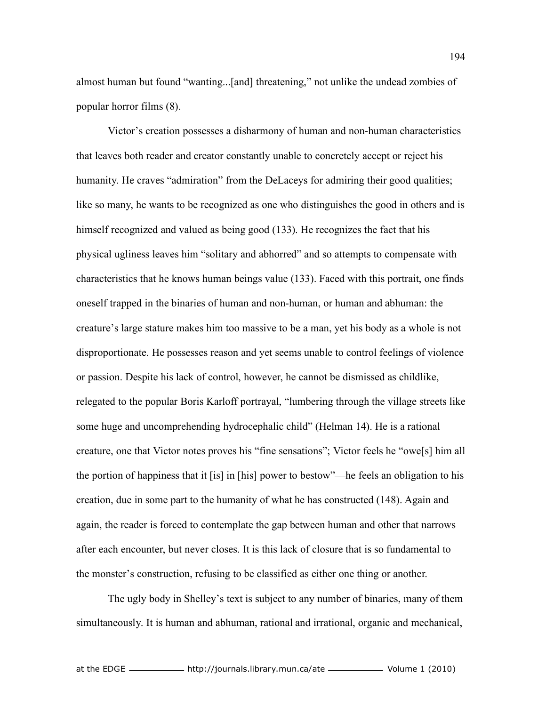almost human but found "wanting...[and] threatening," not unlike the undead zombies of popular horror films (8).

Victor's creation possesses a disharmony of human and non-human characteristics that leaves both reader and creator constantly unable to concretely accept or reject his humanity. He craves "admiration" from the DeLaceys for admiring their good qualities; like so many, he wants to be recognized as one who distinguishes the good in others and is himself recognized and valued as being good (133). He recognizes the fact that his physical ugliness leaves him "solitary and abhorred" and so attempts to compensate with characteristics that he knows human beings value (133). Faced with this portrait, one finds oneself trapped in the binaries of human and non-human, or human and abhuman: the creature's large stature makes him too massive to be a man, yet his body as a whole is not disproportionate. He possesses reason and yet seems unable to control feelings of violence or passion. Despite his lack of control, however, he cannot be dismissed as childlike, relegated to the popular Boris Karloff portrayal, "lumbering through the village streets like some huge and uncomprehending hydrocephalic child" (Helman 14). He is a rational creature, one that Victor notes proves his "fine sensations"; Victor feels he "owe[s] him all the portion of happiness that it [is] in [his] power to bestow"—he feels an obligation to his creation, due in some part to the humanity of what he has constructed (148). Again and again, the reader is forced to contemplate the gap between human and other that narrows after each encounter, but never closes. It is this lack of closure that is so fundamental to the monster's construction, refusing to be classified as either one thing or another.

The ugly body in Shelley's text is subject to any number of binaries, many of them simultaneously. It is human and abhuman, rational and irrational, organic and mechanical,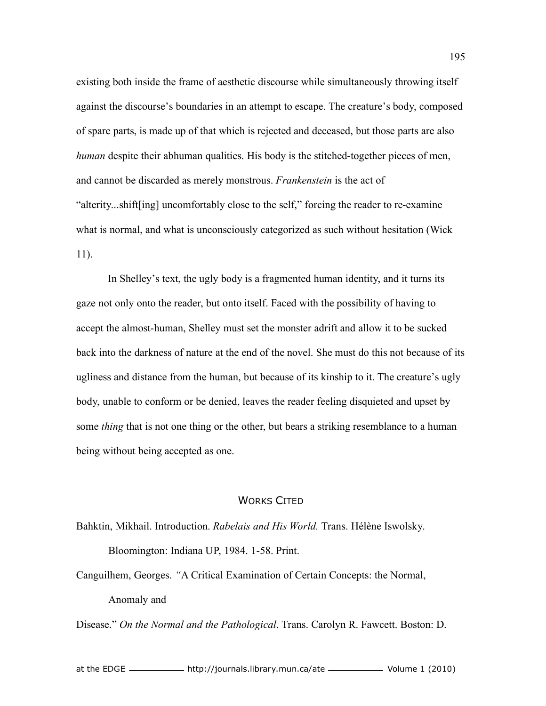existing both inside the frame of aesthetic discourse while simultaneously throwing itself against the discourse's boundaries in an attempt to escape. The creature's body, composed of spare parts, is made up of that which is rejected and deceased, but those parts are also *human* despite their abhuman qualities. His body is the stitched-together pieces of men, and cannot be discarded as merely monstrous. *Frankenstein* is the act of "alterity...shift[ing] uncomfortably close to the self," forcing the reader to re-examine what is normal, and what is unconsciously categorized as such without hesitation (Wick 11).

In Shelley's text, the ugly body is a fragmented human identity, and it turns its gaze not only onto the reader, but onto itself. Faced with the possibility of having to accept the almost-human, Shelley must set the monster adrift and allow it to be sucked back into the darkness of nature at the end of the novel. She must do this not because of its ugliness and distance from the human, but because of its kinship to it. The creature's ugly body, unable to conform or be denied, leaves the reader feeling disquieted and upset by some *thing* that is not one thing or the other, but bears a striking resemblance to a human being without being accepted as one.

## WORKS CITED

Bahktin, Mikhail. Introduction. *Rabelais and His World.* Trans. Hélène Iswolsky. Bloomington: Indiana UP, 1984. 1-58. Print.

Canguilhem, Georges. *"*A Critical Examination of Certain Concepts: the Normal, Anomaly and

Disease." *On the Normal and the Pathological*. Trans. Carolyn R. Fawcett. Boston: D.